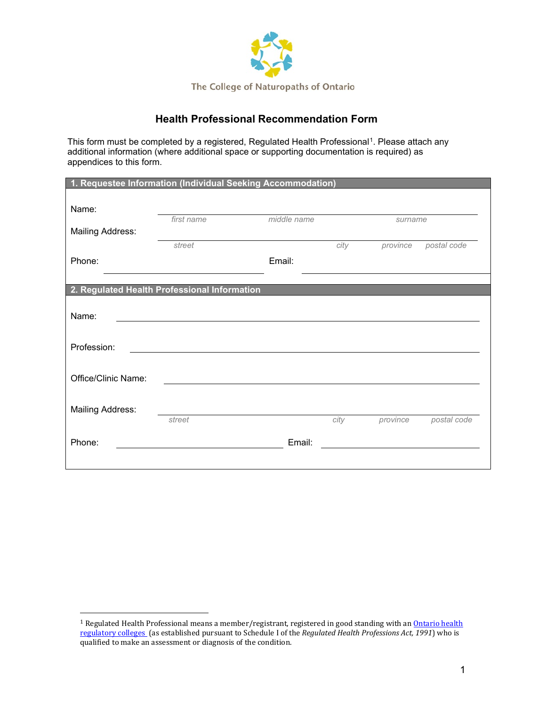

# **Health Professional Recommendation Form**

This form must be completed by a registered, Regulated Health Professional<sup>[1](#page-0-0)</sup>. Please attach any additional information (where additional space or supporting documentation is required) as appendices to this form.

| 1. Requestee Information (Individual Seeking Accommodation) |            |             |      |          |             |
|-------------------------------------------------------------|------------|-------------|------|----------|-------------|
| Name:                                                       |            |             |      |          |             |
| <b>Mailing Address:</b>                                     | first name | middle name |      | surname  |             |
|                                                             | street     |             | city | province | postal code |
| Phone:                                                      |            | Email:      |      |          |             |
| 2. Regulated Health Professional Information                |            |             |      |          |             |
| Name:                                                       |            |             |      |          |             |
| Profession:                                                 |            |             |      |          |             |
| Office/Clinic Name:                                         |            |             |      |          |             |
| <b>Mailing Address:</b>                                     | street     |             | city | province | postal code |
| Phone:                                                      |            | Email:      |      |          |             |
|                                                             |            |             |      |          |             |

<span id="page-0-0"></span><sup>&</sup>lt;sup>1</sup> Regulated Health Professional means a member/registrant, registered in good standing with an **Ontario health** [regulatory colleges](https://www.regulatedhealthprofessions.on.ca/professionscolleges.html) (as established pursuant to Schedule I of the *Regulated Health Professions Act, 1991*) who is qualified to make an assessment or diagnosis of the condition.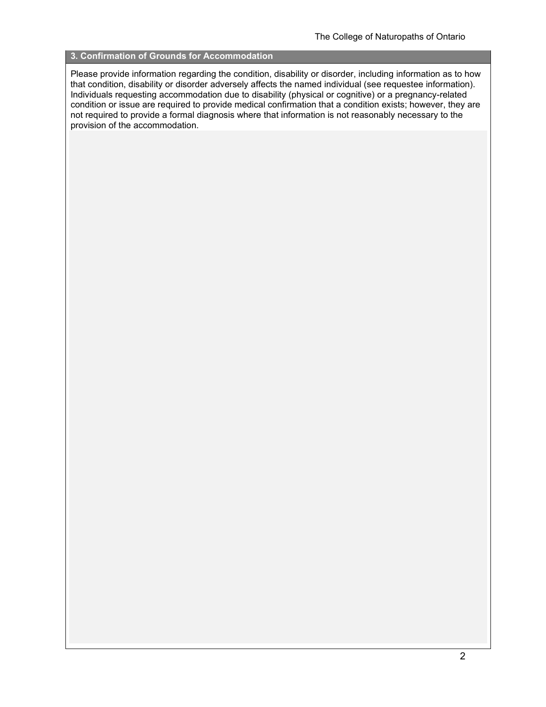#### **3. Confirmation of Grounds for Accommodation**

Please provide information regarding the condition, disability or disorder, including information as to how that condition, disability or disorder adversely affects the named individual (see requestee information). Individuals requesting accommodation due to disability (physical or cognitive) or a pregnancy-related condition or issue are required to provide medical confirmation that a condition exists; however, they are not required to provide a formal diagnosis where that information is not reasonably necessary to the provision of the accommodation.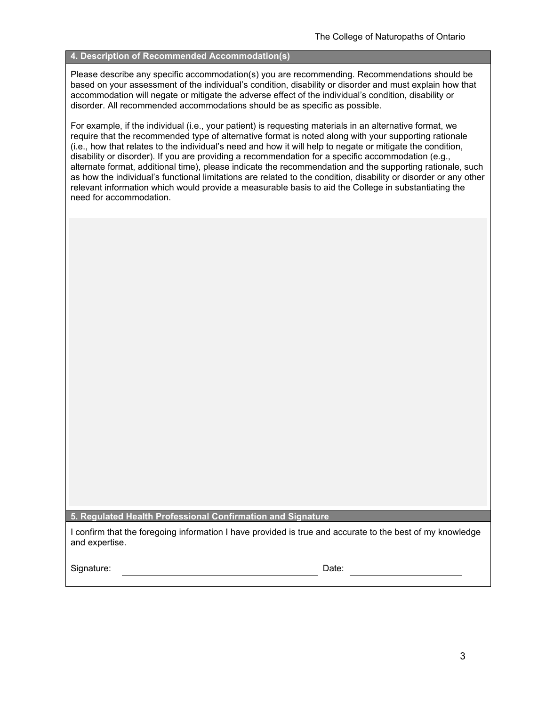### **4. Description of Recommended Accommodation(s)**

Please describe any specific accommodation(s) you are recommending. Recommendations should be based on your assessment of the individual's condition, disability or disorder and must explain how that accommodation will negate or mitigate the adverse effect of the individual's condition, disability or disorder. All recommended accommodations should be as specific as possible.

For example, if the individual (i.e., your patient) is requesting materials in an alternative format, we require that the recommended type of alternative format is noted along with your supporting rationale (i.e., how that relates to the individual's need and how it will help to negate or mitigate the condition, disability or disorder). If you are providing a recommendation for a specific accommodation (e.g., alternate format, additional time), please indicate the recommendation and the supporting rationale, such as how the individual's functional limitations are related to the condition, disability or disorder or any other relevant information which would provide a measurable basis to aid the College in substantiating the need for accommodation.

**5. Regulated Health Professional Confirmation and Signature**

I confirm that the foregoing information I have provided is true and accurate to the best of my knowledge and expertise.

Signature: Date: